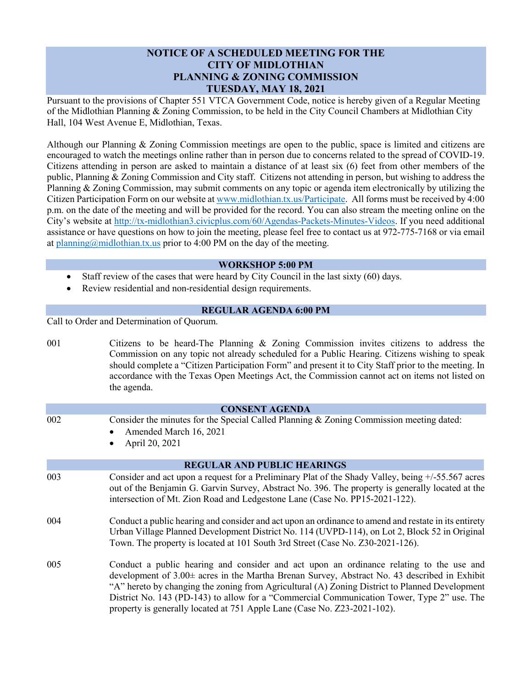## **NOTICE OF A SCHEDULED MEETING FOR THE CITY OF MIDLOTHIAN PLANNING & ZONING COMMISSION TUESDAY, MAY 18, 2021**

Pursuant to the provisions of Chapter 551 VTCA Government Code, notice is hereby given of a Regular Meeting of the Midlothian Planning & Zoning Commission, to be held in the City Council Chambers at Midlothian City Hall, 104 West Avenue E, Midlothian, Texas.

Although our Planning & Zoning Commission meetings are open to the public, space is limited and citizens are encouraged to watch the meetings online rather than in person due to concerns related to the spread of COVID-19. Citizens attending in person are asked to maintain a distance of at least six (6) feet from other members of the public, Planning & Zoning Commission and City staff. Citizens not attending in person, but wishing to address the Planning & Zoning Commission, may submit comments on any topic or agenda item electronically by utilizing the Citizen Participation Form on our website a[t www.midlothian.tx.us/Participate.](http://www.midlothian.tx.us/Participate) All forms must be received by 4:00 p.m. on the date of the meeting and will be provided for the record. You can also stream the meeting online on the City's website at [http://tx-midlothian3.civicplus.com/60/Agendas-Packets-Minutes-Videos.](http://tx-midlothian3.civicplus.com/60/Agendas-Packets-Minutes-Videos) If you need additional assistance or have questions on how to join the meeting, please feel free to contact us at 972-775-7168 or via email at [planning@midlothian.tx.us](mailto:planning@midlothian.tx.us) prior to 4:00 PM on the day of the meeting.

## **WORKSHOP 5:00 PM**

- Staff review of the cases that were heard by City Council in the last sixty (60) days.
- Review residential and non-residential design requirements.

## **REGULAR AGENDA 6:00 PM**

Call to Order and Determination of Quorum.

| 001                   | Citizens to be heard-The Planning & Zoning Commission invites citizens to address the<br>Commission on any topic not already scheduled for a Public Hearing. Citizens wishing to speak<br>should complete a "Citizen Participation Form" and present it to City Staff prior to the meeting. In<br>accordance with the Texas Open Meetings Act, the Commission cannot act on items not listed on<br>the agenda.                                                      |
|-----------------------|---------------------------------------------------------------------------------------------------------------------------------------------------------------------------------------------------------------------------------------------------------------------------------------------------------------------------------------------------------------------------------------------------------------------------------------------------------------------|
| <b>CONSENT AGENDA</b> |                                                                                                                                                                                                                                                                                                                                                                                                                                                                     |
| 002                   | Consider the minutes for the Special Called Planning & Zoning Commission meeting dated:<br>Amended March 16, 2021<br>April 20, 2021<br>$\bullet$                                                                                                                                                                                                                                                                                                                    |
|                       | <b>REGULAR AND PUBLIC HEARINGS</b>                                                                                                                                                                                                                                                                                                                                                                                                                                  |
| 003                   | Consider and act upon a request for a Preliminary Plat of the Shady Valley, being +/-55.567 acres<br>out of the Benjamin G. Garvin Survey, Abstract No. 396. The property is generally located at the<br>intersection of Mt. Zion Road and Ledgestone Lane (Case No. PP15-2021-122).                                                                                                                                                                                |
| 004                   | Conduct a public hearing and consider and act upon an ordinance to amend and restate in its entirety<br>Urban Village Planned Development District No. 114 (UVPD-114), on Lot 2, Block 52 in Original<br>Town. The property is located at 101 South 3rd Street (Case No. Z30-2021-126).                                                                                                                                                                             |
| 005                   | Conduct a public hearing and consider and act upon an ordinance relating to the use and<br>development of 3.00± acres in the Martha Brenan Survey, Abstract No. 43 described in Exhibit<br>"A" hereto by changing the zoning from Agricultural (A) Zoning District to Planned Development<br>District No. 143 (PD-143) to allow for a "Commercial Communication Tower, Type 2" use. The<br>property is generally located at 751 Apple Lane (Case No. Z23-2021-102). |